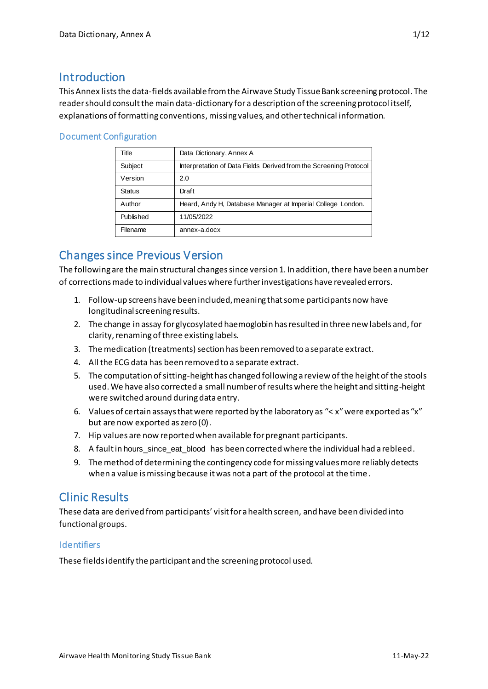# **Introduction**

This Annex lists the data-fields available from the Airwave Study Tissue Bank screening protocol. The reader should consult the main data-dictionary for a description of the screening protocol itself, explanations of formatting conventions, missing values, and other technical information.

## Document Configuration

| Title         | Data Dictionary, Annex A                                          |
|---------------|-------------------------------------------------------------------|
| Subject       | Interpretation of Data Fields Derived from the Screening Protocol |
| Version       | 2.0                                                               |
| <b>Status</b> | Draft                                                             |
| Author        | Heard, Andy H, Database Manager at Imperial College London.       |
| Published     | 11/05/2022                                                        |
| Filename      | annex-a.docx                                                      |

# Changes since Previous Version

The following are the main structural changes since version 1. In addition, there have been a number of corrections made to individual values where further investigations have revealed errors.

- 1. Follow-up screens have been included, meaning that some participants now have longitudinal screening results.
- 2. The change in assay for glycosylated haemoglobin has resulted in three new labels and, for clarity, renaming of three existing labels.
- 3. The medication (treatments) section has been removed to a separate extract.
- 4. All the ECG data has been removed to a separate extract.
- 5. The computation of sitting-height has changed following a review of the height of the stools used. We have also corrected a small number of results where the height and sitting-height were switched around during data entry.
- 6. Values of certain assays that were reported by the laboratory as "< x" were exported as "x" but are now exported as zero (0).
- 7. Hip values are now reported when available for pregnant participants.
- 8. A fault in hours\_since\_eat\_blood has been corrected where the individual had a rebleed.
- 9. The method of determining the contingency code for missing values more reliably detects when a value is missing because it was not a part of the protocol at the time.

# Clinic Results

These data are derived from participants' visit for a health screen, and have been divided into functional groups.

## **Identifiers**

These fields identify the participant and the screening protocol used.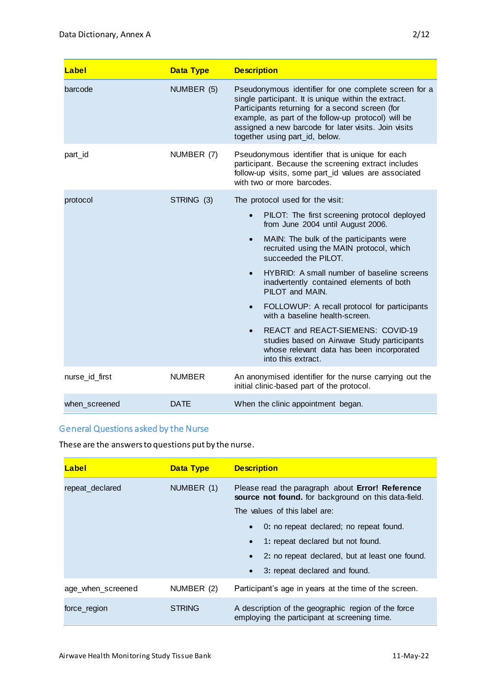| Label          | <b>Data Type</b> | <b>Description</b>                                                                                                                                                                                                                                                                                                                                                                                                                                                                                                                                                                                                                                          |
|----------------|------------------|-------------------------------------------------------------------------------------------------------------------------------------------------------------------------------------------------------------------------------------------------------------------------------------------------------------------------------------------------------------------------------------------------------------------------------------------------------------------------------------------------------------------------------------------------------------------------------------------------------------------------------------------------------------|
| barcode        | NUMBER (5)       | Pseudonymous identifier for one complete screen for a<br>single participant. It is unique within the extract.<br>Participants returning for a second screen (for<br>example, as part of the follow-up protocol) will be<br>assigned a new barcode for later visits. Join visits<br>together using part_id, below.                                                                                                                                                                                                                                                                                                                                           |
| part_id        | NUMBER (7)       | Pseudonymous identifier that is unique for each<br>participant. Because the screening extract includes<br>follow-up visits, some part_id values are associated<br>with two or more barcodes.                                                                                                                                                                                                                                                                                                                                                                                                                                                                |
| protocol       | STRING (3)       | The protocol used for the visit:<br>PILOT: The first screening protocol deployed<br>$\bullet$<br>from June 2004 until August 2006.<br>MAIN: The bulk of the participants were<br>$\bullet$<br>recruited using the MAIN protocol, which<br>succeeded the PILOT.<br>HYBRID: A small number of baseline screens<br>$\bullet$<br>inadvertently contained elements of both<br>PILOT and MAIN.<br>FOLLOWUP: A recall protocol for participants<br>$\bullet$<br>with a baseline health-screen.<br>REACT and REACT-SIEMENS: COVID-19<br>$\bullet$<br>studies based on Airwave Study participants<br>whose relevant data has been incorporated<br>into this extract. |
| nurse_id_first | <b>NUMBER</b>    | An anonymised identifier for the nurse carrying out the<br>initial clinic-based part of the protocol.                                                                                                                                                                                                                                                                                                                                                                                                                                                                                                                                                       |
| when screened  | <b>DATE</b>      | When the clinic appointment began.                                                                                                                                                                                                                                                                                                                                                                                                                                                                                                                                                                                                                          |

# General Questions asked by the Nurse

These are the answers to questions put by the nurse.

| Label             | <b>Data Type</b> | <b>Description</b>                                                                                       |
|-------------------|------------------|----------------------------------------------------------------------------------------------------------|
| repeat_declared   | NUMBER (1)       | Please read the paragraph about Error! Reference<br>source not found. for background on this data-field. |
|                   |                  | The values of this label are:                                                                            |
|                   |                  | 0: no repeat declared; no repeat found.                                                                  |
|                   |                  | 1: repeat declared but not found.<br>$\bullet$                                                           |
|                   |                  | 2: no repeat declared, but at least one found.<br>$\bullet$                                              |
|                   |                  | 3: repeat declared and found.                                                                            |
| age_when_screened | NUMBER (2)       | Participant's age in years at the time of the screen.                                                    |
| force region      | <b>STRING</b>    | A description of the geographic region of the force<br>employing the participant at screening time.      |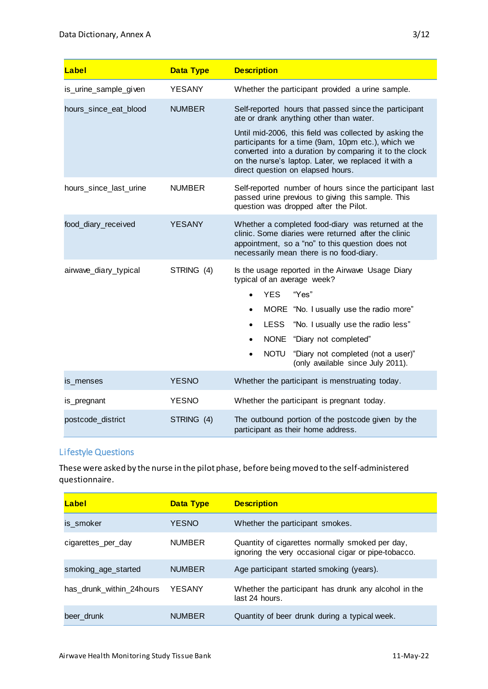| Label                  | <b>Data Type</b> | <b>Description</b>                                                                                                                                                                                                                                                 |
|------------------------|------------------|--------------------------------------------------------------------------------------------------------------------------------------------------------------------------------------------------------------------------------------------------------------------|
| is_urine_sample_given  | <b>YESANY</b>    | Whether the participant provided a urine sample.                                                                                                                                                                                                                   |
| hours_since_eat_blood  | <b>NUMBER</b>    | Self-reported hours that passed since the participant<br>ate or drank anything other than water.                                                                                                                                                                   |
|                        |                  | Until mid-2006, this field was collected by asking the<br>participants for a time (9am, 10pm etc.), which we<br>converted into a duration by comparing it to the clock<br>on the nurse's laptop. Later, we replaced it with a<br>direct question on elapsed hours. |
| hours_since_last_urine | <b>NUMBER</b>    | Self-reported number of hours since the participant last<br>passed urine previous to giving this sample. This<br>question was dropped after the Pilot.                                                                                                             |
| food_diary_received    | <b>YESANY</b>    | Whether a completed food-diary was returned at the<br>clinic. Some diaries were returned after the clinic<br>appointment, so a "no" to this question does not<br>necessarily mean there is no food-diary.                                                          |
| airwave_diary_typical  | STRING (4)       | Is the usage reported in the Airwave Usage Diary<br>typical of an average week?                                                                                                                                                                                    |
|                        |                  | <b>YES</b><br>"Yes"<br>$\bullet$                                                                                                                                                                                                                                   |
|                        |                  | MORE "No. I usually use the radio more"<br>$\bullet$                                                                                                                                                                                                               |
|                        |                  | "No. I usually use the radio less"<br>LESS<br>$\bullet$                                                                                                                                                                                                            |
|                        |                  | NONE "Diary not completed"<br>$\bullet$                                                                                                                                                                                                                            |
|                        |                  | <b>NOTU</b><br>"Diary not completed (not a user)"<br>$\bullet$<br>(only available since July 2011).                                                                                                                                                                |
| is_menses              | <b>YESNO</b>     | Whether the participant is menstruating today.                                                                                                                                                                                                                     |
| is_pregnant            | <b>YESNO</b>     | Whether the participant is pregnant today.                                                                                                                                                                                                                         |
| postcode_district      | STRING (4)       | The outbound portion of the postcode given by the<br>participant as their home address.                                                                                                                                                                            |

#### Lifestyle Questions

These were asked by the nurse in the pilot phase, before being moved to the self-administered questionnaire.

| Label                     | <b>Data Type</b> | <b>Description</b>                                                                                     |
|---------------------------|------------------|--------------------------------------------------------------------------------------------------------|
| is smoker                 | <b>YESNO</b>     | Whether the participant smokes.                                                                        |
| cigarettes_per_day        | <b>NUMBER</b>    | Quantity of cigarettes normally smoked per day,<br>ignoring the very occasional cigar or pipe-tobacco. |
| smoking_age_started       | <b>NUMBER</b>    | Age participant started smoking (years).                                                               |
| has drunk within 24 hours | YESANY           | Whether the participant has drunk any alcohol in the<br>last 24 hours.                                 |
| beer drunk                | <b>NUMBER</b>    | Quantity of beer drunk during a typical week.                                                          |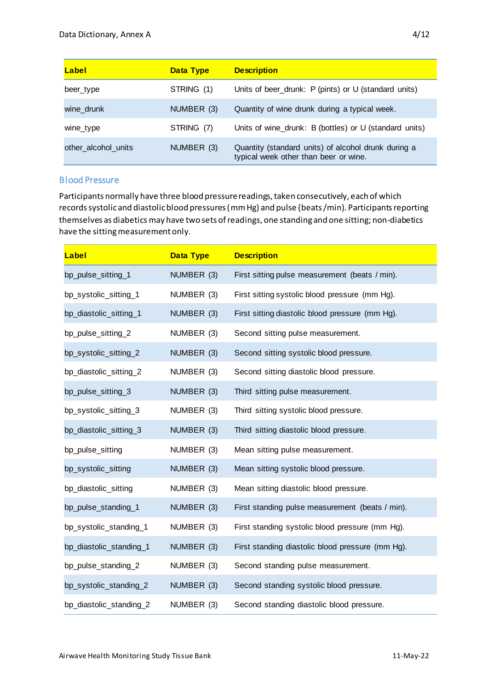| Label               | <b>Data Type</b> | <b>Description</b>                                                                           |
|---------------------|------------------|----------------------------------------------------------------------------------------------|
| beer type           | STRING (1)       | Units of beer_drunk: P (pints) or U (standard units)                                         |
| wine drunk          | NUMBER (3)       | Quantity of wine drunk during a typical week.                                                |
| wine_type           | STRING (7)       | Units of wine_drunk: B (bottles) or U (standard units)                                       |
| other alcohol units | NUMBER (3)       | Quantity (standard units) of alcohol drunk during a<br>typical week other than beer or wine. |

#### Blood Pressure

Participants normally have three blood pressure readings, taken consecutively, each of which records systolic and diastolic blood pressures (mm Hg) and pulse (beats /min). Participants reporting themselves as diabetics may have two sets of readings, one standing and one sitting; non-diabetics have the sitting measurement only.

| Label                   | <b>Data Type</b> | <b>Description</b>                               |
|-------------------------|------------------|--------------------------------------------------|
| bp_pulse_sitting_1      | NUMBER (3)       | First sitting pulse measurement (beats / min).   |
| bp_systolic_sitting_1   | NUMBER (3)       | First sitting systolic blood pressure (mm Hg).   |
| bp_diastolic_sitting_1  | NUMBER (3)       | First sitting diastolic blood pressure (mm Hg).  |
| bp_pulse_sitting_2      | NUMBER (3)       | Second sitting pulse measurement.                |
| bp_systolic_sitting_2   | NUMBER (3)       | Second sitting systolic blood pressure.          |
| bp_diastolic_sitting_2  | NUMBER (3)       | Second sitting diastolic blood pressure.         |
| bp_pulse_sitting_3      | NUMBER (3)       | Third sitting pulse measurement.                 |
| bp_systolic_sitting_3   | NUMBER (3)       | Third sitting systolic blood pressure.           |
| bp_diastolic_sitting_3  | NUMBER (3)       | Third sitting diastolic blood pressure.          |
| bp_pulse_sitting        | NUMBER (3)       | Mean sitting pulse measurement.                  |
| bp_systolic_sitting     | NUMBER (3)       | Mean sitting systolic blood pressure.            |
| bp_diastolic_sitting    | NUMBER (3)       | Mean sitting diastolic blood pressure.           |
| bp_pulse_standing_1     | NUMBER (3)       | First standing pulse measurement (beats / min).  |
| bp_systolic_standing_1  | NUMBER (3)       | First standing systolic blood pressure (mm Hg).  |
| bp_diastolic_standing_1 | NUMBER (3)       | First standing diastolic blood pressure (mm Hg). |
| bp_pulse_standing_2     | NUMBER (3)       | Second standing pulse measurement.               |
| bp_systolic_standing_2  | NUMBER (3)       | Second standing systolic blood pressure.         |
| bp_diastolic_standing_2 | NUMBER (3)       | Second standing diastolic blood pressure.        |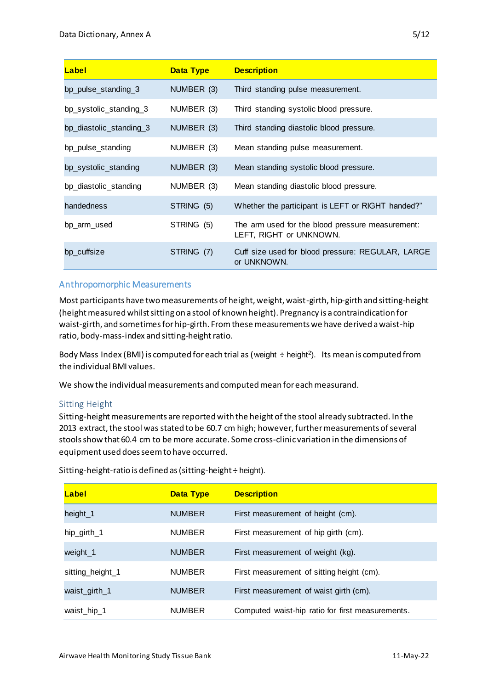| Label                   | <b>Data Type</b> | <b>Description</b>                                                          |
|-------------------------|------------------|-----------------------------------------------------------------------------|
| bp_pulse_standing_3     | NUMBER (3)       | Third standing pulse measurement.                                           |
| bp_systolic_standing_3  | NUMBER (3)       | Third standing systolic blood pressure.                                     |
| bp_diastolic_standing_3 | NUMBER (3)       | Third standing diastolic blood pressure.                                    |
| bp_pulse_standing       | NUMBER (3)       | Mean standing pulse measurement.                                            |
| bp_systolic_standing    | NUMBER (3)       | Mean standing systolic blood pressure.                                      |
| bp_diastolic_standing   | NUMBER (3)       | Mean standing diastolic blood pressure.                                     |
| handedness              | STRING (5)       | Whether the participant is LEFT or RIGHT handed?"                           |
| bp_arm_used             | STRING (5)       | The arm used for the blood pressure measurement:<br>LEFT, RIGHT or UNKNOWN. |
| bp cuffsize             | STRING (7)       | Cuff size used for blood pressure: REGULAR, LARGE<br>or UNKNOWN.            |

#### Anthropomorphic Measurements

Most participants have two measurements of height, weight, waist-girth, hip-girth and sitting-height (height measured whilst sitting on a stool of known height). Pregnancy is a contraindication for waist-girth, and sometimes for hip-girth. From these measurements we have derived a waist-hip ratio, body-mass-index and sitting-height ratio.

Body Mass Index (BMI) is computed for each trial as (weight  $\div$  height<sup>2</sup>). Its mean is computed from the individual BMI values.

We show the individual measurements and computed mean for each measurand.

#### Sitting Height

Sitting-height measurements are reported with the height of the stool already subtracted. In the 2013 extract, the stool was stated to be 60.7 cm high; however, further measurements of several stools show that 60.4 cm to be more accurate. Some cross-clinic variation in the dimensions of equipment used does seem to have occurred.

| Label            | <b>Data Type</b> | <b>Description</b>                               |
|------------------|------------------|--------------------------------------------------|
| height_1         | <b>NUMBER</b>    | First measurement of height (cm).                |
| hip_girth_1      | <b>NUMBER</b>    | First measurement of hip girth (cm).             |
| weight_1         | <b>NUMBER</b>    | First measurement of weight (kg).                |
| sitting_height_1 | <b>NUMBER</b>    | First measurement of sitting height (cm).        |
| waist_girth_1    | <b>NUMBER</b>    | First measurement of waist girth (cm).           |
| waist_hip_1      | <b>NUMBER</b>    | Computed waist-hip ratio for first measurements. |

Sitting-height-ratio is defined as (sitting-height ÷ height).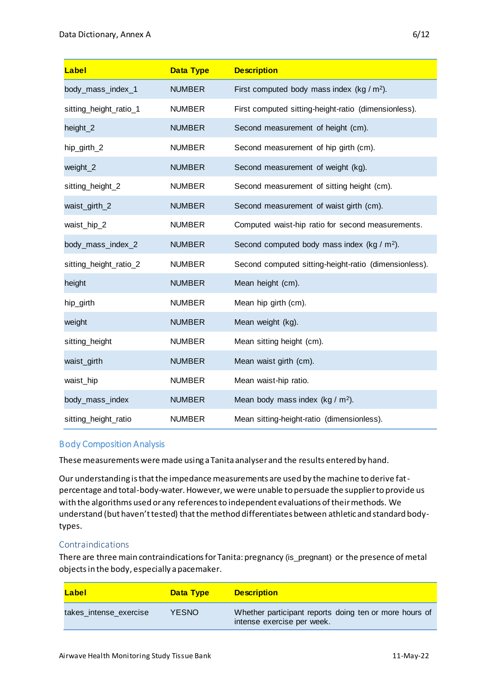| Label                  | <b>Data Type</b> | <b>Description</b>                                      |
|------------------------|------------------|---------------------------------------------------------|
| body_mass_index_1      | <b>NUMBER</b>    | First computed body mass index (kg / $m2$ ).            |
| sitting_height_ratio_1 | <b>NUMBER</b>    | First computed sitting-height-ratio (dimensionless).    |
| height_2               | <b>NUMBER</b>    | Second measurement of height (cm).                      |
| hip_girth_2            | <b>NUMBER</b>    | Second measurement of hip girth (cm).                   |
| weight_2               | <b>NUMBER</b>    | Second measurement of weight (kg).                      |
| sitting_height_2       | <b>NUMBER</b>    | Second measurement of sitting height (cm).              |
| waist_girth_2          | <b>NUMBER</b>    | Second measurement of waist girth (cm).                 |
| waist_hip_2            | <b>NUMBER</b>    | Computed waist-hip ratio for second measurements.       |
| body_mass_index_2      | <b>NUMBER</b>    | Second computed body mass index (kg / m <sup>2</sup> ). |
| sitting_height_ratio_2 | <b>NUMBER</b>    | Second computed sitting-height-ratio (dimensionless).   |
| height                 | <b>NUMBER</b>    | Mean height (cm).                                       |
| hip_girth              | <b>NUMBER</b>    | Mean hip girth (cm).                                    |
| weight                 | <b>NUMBER</b>    | Mean weight (kg).                                       |
| sitting_height         | <b>NUMBER</b>    | Mean sitting height (cm).                               |
| waist_girth            | <b>NUMBER</b>    | Mean waist girth (cm).                                  |
| waist_hip              | <b>NUMBER</b>    | Mean waist-hip ratio.                                   |
| body_mass_index        | <b>NUMBER</b>    | Mean body mass index (kg / $m2$ ).                      |
| sitting_height_ratio   | <b>NUMBER</b>    | Mean sitting-height-ratio (dimensionless).              |

## Body Composition Analysis

These measurements were made using a Tanita analyser and the results entered by hand.

Our understanding is that the impedance measurements are used by the machine to derive fatpercentage and total-body-water. However, we were unable to persuade the supplier to provide us with the algorithms used or any references to independent evaluations of their methods. We understand (but haven't tested) that the method differentiates between athletic and standard bodytypes.

#### Contraindications

There are three main contraindications for Tanita: pregnancy (is\_pregnant) or the presence of metal objects in the body, especially a pacemaker.

| Label                  | <b>Data Type</b> | <b>Description</b>                                                                   |
|------------------------|------------------|--------------------------------------------------------------------------------------|
| takes_intense_exercise | YESNO.           | Whether participant reports doing ten or more hours of<br>intense exercise per week. |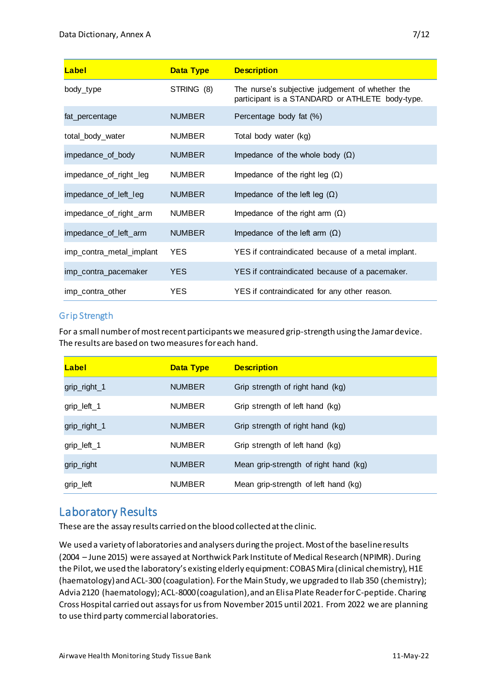| Label                    | <b>Data Type</b> | <b>Description</b>                                                                                 |
|--------------------------|------------------|----------------------------------------------------------------------------------------------------|
| body_type                | STRING (8)       | The nurse's subjective judgement of whether the<br>participant is a STANDARD or ATHLETE body-type. |
| fat_percentage           | <b>NUMBER</b>    | Percentage body fat (%)                                                                            |
| total_body_water         | <b>NUMBER</b>    | Total body water (kg)                                                                              |
| impedance_of_body        | <b>NUMBER</b>    | Impedance of the whole body $(\Omega)$                                                             |
| impedance_of_right_leg   | <b>NUMBER</b>    | Impedance of the right leg $(\Omega)$                                                              |
| impedance_of_left_leg    | <b>NUMBER</b>    | Impedance of the left leg $(\Omega)$                                                               |
| impedance_of_right_arm   | <b>NUMBER</b>    | Impedance of the right arm $(\Omega)$                                                              |
| impedance_of_left_arm    | <b>NUMBER</b>    | Impedance of the left arm $(\Omega)$                                                               |
| imp_contra_metal_implant | <b>YES</b>       | YES if contraindicated because of a metal implant.                                                 |
| imp_contra_pacemaker     | <b>YES</b>       | YES if contraindicated because of a pacemaker.                                                     |
| imp_contra_other         | YES.             | YES if contraindicated for any other reason.                                                       |

## Grip Strength

For a small number of most recent participants we measured grip-strength using the Jamar device. The results are based on two measures for each hand.

| Label        | <b>Data Type</b> | <b>Description</b>                    |
|--------------|------------------|---------------------------------------|
| grip_right_1 | <b>NUMBER</b>    | Grip strength of right hand (kg)      |
| grip_left_1  | <b>NUMBER</b>    | Grip strength of left hand (kg)       |
| grip_right_1 | <b>NUMBER</b>    | Grip strength of right hand (kg)      |
| grip_left_1  | <b>NUMBER</b>    | Grip strength of left hand (kg)       |
| grip_right   | <b>NUMBER</b>    | Mean grip-strength of right hand (kg) |
| grip_left    | <b>NUMBER</b>    | Mean grip-strength of left hand (kg)  |

# Laboratory Results

These are the assay results carried on the blood collected at the clinic.

We used a variety of laboratories and analysers during the project. Most of the baseline results (2004 – June 2015) were assayed at Northwick Park Institute of Medical Research (NPIMR). During the Pilot, we used the laboratory's existing elderly equipment: COBAS Mira (clinical chemistry), H1E (haematology) and ACL-300 (coagulation). For the Main Study, we upgraded to Ilab 350 (chemistry); Advia 2120 (haematology); ACL-8000 (coagulation), and an Elisa Plate Reader for C-peptide. Charing Cross Hospital carried out assays for us from November 2015 until 2021. From 2022 we are planning to use third party commercial laboratories.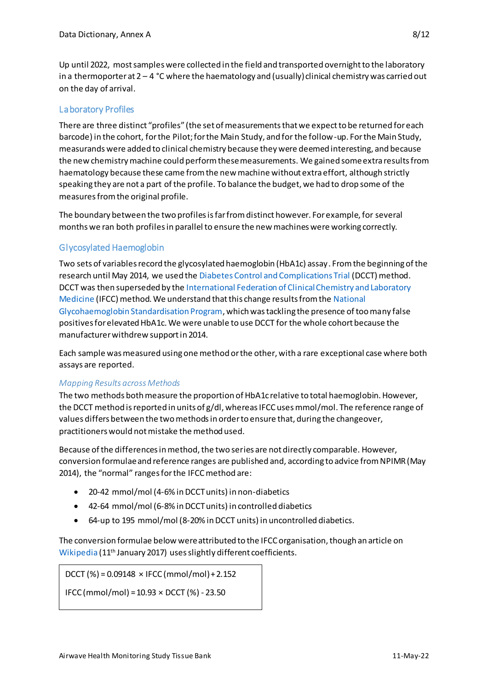Up until 2022, most samples were collected in the field and transported overnight to the laboratory in a thermoporter at  $2 - 4$  °C where the haematology and (usually) clinical chemistry was carried out on the day of arrival.

#### Laboratory Profiles

There are three distinct "profiles" (the set of measurements that we expect to be returned for each barcode) in the cohort, for the Pilot; for the Main Study, and for the follow-up. For the Main Study, measurands were added to clinical chemistry because they were deemed interesting, and because the new chemistry machine could perform these measurements. We gained some extra results from haematology because these came from the new machine without extra effort, although strictly speaking they are not a part of the profile. To balance the budget, we had to drop some of the measures from the original profile.

The boundary between the two profiles is far from distinct however. For example, for several months we ran both profiles in parallel to ensure the new machines were working correctly.

## Glycosylated Haemoglobin

Two sets of variables record the glycosylated haemoglobin (HbA1c) assay. From the beginning of the research until May 2014, we used th[e Diabetes Control and Complications Trial](https://en.wikipedia.org/wiki/Diabetes_Control_and_Complications_Trial) (DCCT) method. DCCT was then superseded by th[e International Federation of Clinical Chemistry and Laboratory](https://en.wikipedia.org/wiki/International_Federation_of_Clinical_Chemistry_and_Laboratory_Medicine)  [Medicine](https://en.wikipedia.org/wiki/International_Federation_of_Clinical_Chemistry_and_Laboratory_Medicine) (IFCC) method. We understand that this change results from th[e National](http://www.ngsp.org/)  [Glycohaemoglobin Standardisation Program,](http://www.ngsp.org/) which was tackling the presence of too many false positives for elevated HbA1c. We were unable to use DCCT for the whole cohort because the manufacturer withdrew support in 2014.

Each sample was measured using one method or the other, with a rare exceptional case where both assays are reported.

#### *Mapping Results across Methods*

The two methods both measure the proportion of HbA1c relative to total haemoglobin. However, the DCCT method is reported in units of g/dl, whereas IFCC uses mmol/mol. The reference range of values differs between the two methods in order to ensure that, during the changeover, practitioners would not mistake the method used.

Because of the differences in method, the two series are not directly comparable. However, conversion formulae and reference ranges are published and, according to advice from NPIMR (May 2014), the "normal" ranges for the IFCC method are:

- 20-42 mmol/mol (4-6% in DCCT units) in non-diabetics
- 42-64 mmol/mol (6-8% in DCCT units) in controlled diabetics
- 64-up to 195 mmol/mol (8-20% in DCCT units) in uncontrolled diabetics.

The conversion formulae below were attributed to the IFCC organisation, though an article on [Wikipedia](https://en.wikipedia.org/wiki/Glycated_hemoglobin) (11<sup>th</sup> January 2017) uses slightly different coefficients.

 $DCCT$  (%) = 0.09148  $\times$  IFCC (mmol/mol) + 2.152

 $IFCC (mmol/mol) = 10.93 \times DCCT (%) - 23.50$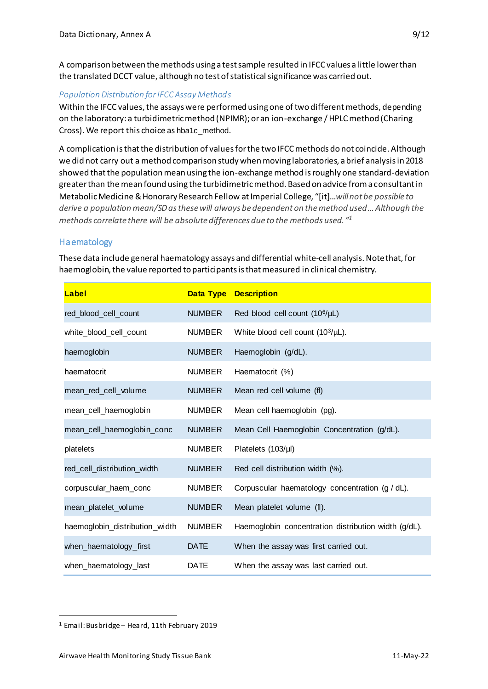A comparison between the methods using a test sample resulted in IFCC values a little lower than the translated DCCT value, although no test of statistical significance was carried out.

## *Population Distribution for IFCC Assay Methods*

Within the IFCC values, the assays were performed using one of two different methods, depending on the laboratory: a turbidimetric method (NPIMR); or an ion-exchange / HPLC method (Charing Cross). We report this choice as hba1c\_method.

A complication is that the distribution of values for the two IFCC methods do not coincide. Although we did not carry out a method comparison study when moving laboratories, a brief analysis in 2018 showed that the population mean using the ion-exchange method is roughly one standard-deviation greater than the mean found using the turbidimetric method. Based on advice from a consultant in Metabolic Medicine & Honorary Research Fellow at Imperial College, "[it]…*will not be possible to derive a population mean/SD as these will always be dependent on the method used… Although the methods correlate there will be absolute differences due to the methods used." 1*

## **Haematology**

These data include general haematology assays and differential white-cell analysis. Note that, for haemoglobin, the value reported to participants is that measured in clinical chemistry.

| Label                          |               | <b>Data Type Description</b>                         |
|--------------------------------|---------------|------------------------------------------------------|
| red_blood_cell_count           | <b>NUMBER</b> | Red blood cell count (10 <sup>6</sup> /µL)           |
| white_blood_cell_count         | <b>NUMBER</b> | White blood cell count (10 <sup>3</sup> /µL).        |
| haemoglobin                    | <b>NUMBER</b> | Haemoglobin (g/dL).                                  |
| haematocrit                    | <b>NUMBER</b> | Haematocrit (%)                                      |
| mean_red_cell_volume           | <b>NUMBER</b> | Mean red cell volume (fl)                            |
| mean_cell_haemoglobin          | <b>NUMBER</b> | Mean cell haemoglobin (pg).                          |
| mean_cell_haemoglobin_conc     | <b>NUMBER</b> | Mean Cell Haemoglobin Concentration (g/dL).          |
| platelets                      | <b>NUMBER</b> | Platelets (103/µl)                                   |
| red_cell_distribution_width    | <b>NUMBER</b> | Red cell distribution width (%).                     |
| corpuscular_haem_conc          | <b>NUMBER</b> | Corpuscular haematology concentration (g / dL).      |
| mean_platelet_volume           | <b>NUMBER</b> | Mean platelet volume (fl).                           |
| haemoglobin_distribution_width | <b>NUMBER</b> | Haemoglobin concentration distribution width (g/dL). |
| when_haematology_first         | <b>DATE</b>   | When the assay was first carried out.                |
| when_haematology_last          | <b>DATE</b>   | When the assay was last carried out.                 |

<sup>1</sup> Email: Busbridge – Heard, 11th February 2019

 $\overline{a}$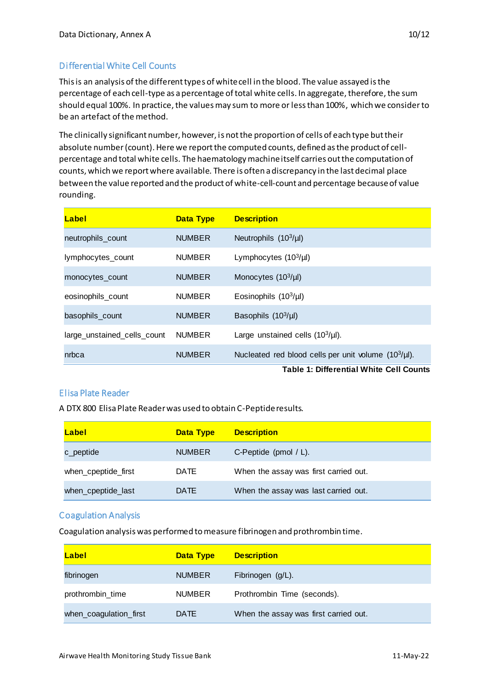# Differential White Cell Counts

This is an analysis of the different types of white cell in the blood. The value assayed is the percentage of each cell-type as a percentage of total white cells. In aggregate, therefore, the sum should equal 100%. In practice, the values may sum to more or less than 100%, which we consider to be an artefact of the method.

The clinically significant number, however, is notthe proportion of cells of each type but their absolute number(count). Here we report the computed counts, defined as the product of cellpercentage and total white cells. The haematology machine itself carries out the computation of counts, which we report where available. There is often a discrepancy in the last decimal place between the value reported and the product of white-cell-count and percentage because of value rounding.

| Label                       | <b>Data Type</b> | <b>Description</b>                                                                                    |
|-----------------------------|------------------|-------------------------------------------------------------------------------------------------------|
| neutrophils_count           | <b>NUMBER</b>    | Neutrophils $(10^3/\mu l)$                                                                            |
| lymphocytes_count           | <b>NUMBER</b>    | Lymphocytes $(10^3/\mu l)$                                                                            |
| monocytes_count             | <b>NUMBER</b>    | Monocytes (10 <sup>3</sup> /µl)                                                                       |
| eosinophils_count           | <b>NUMBER</b>    | Eosinophils $(10^3/\mu l)$                                                                            |
| basophils_count             | <b>NUMBER</b>    | Basophils $(10^3/\mu l)$                                                                              |
| large_unstained_cells_count | <b>NUMBER</b>    | Large unstained cells $(10^3/\mu l)$ .                                                                |
| nrbca                       | <b>NUMBER</b>    | Nucleated red blood cells per unit volume $(10^3/\mu l)$ .<br>Table 4. Differential White Call Ceupta |

**Table 1: Differential White Cell Counts**

#### Elisa Plate Reader

A DTX 800 Elisa Plate Reader was used to obtain C-Peptide results.

| Label               | <b>Data Type</b> | <b>Description</b>                    |
|---------------------|------------------|---------------------------------------|
| c_peptide           | <b>NUMBER</b>    | C-Peptide (pmol $/$ L).               |
| when_cpeptide_first | <b>DATE</b>      | When the assay was first carried out. |
| when_cpeptide_last  | <b>DATE</b>      | When the assay was last carried out.  |

#### Coagulation Analysis

Coagulation analysis was performed to measure fibrinogen and prothrombin time.

| Label                  | <b>Data Type</b> | <b>Description</b>                    |
|------------------------|------------------|---------------------------------------|
| fibrinogen             | <b>NUMBER</b>    | Fibrinogen (g/L).                     |
| prothrombin_time       | <b>NUMBER</b>    | Prothrombin Time (seconds).           |
| when_coagulation_first | <b>DATE</b>      | When the assay was first carried out. |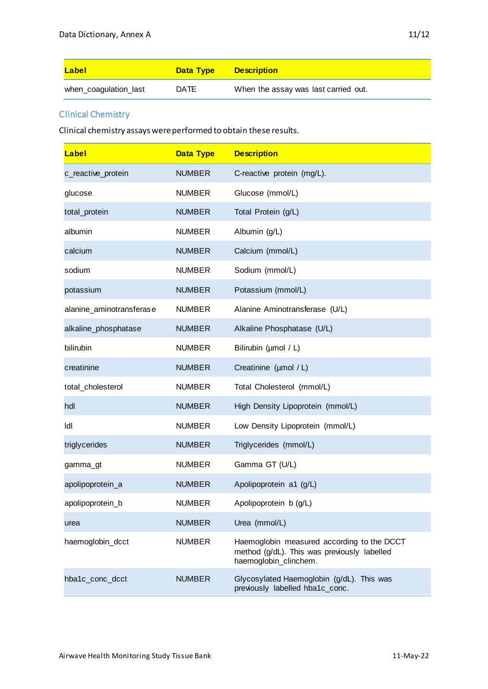| Label                 | <b>Data Type</b> | <b>Description</b>                   |
|-----------------------|------------------|--------------------------------------|
| when_coagulation_last | <b>DATE</b>      | When the assay was last carried out. |

# Clinical Chemistry

Clinical chemistry assays were performed to obtain these results.

| Label                    | <b>Data Type</b> | <b>Description</b>                                                                                                 |
|--------------------------|------------------|--------------------------------------------------------------------------------------------------------------------|
| c_reactive_protein       | <b>NUMBER</b>    | C-reactive protein (mg/L).                                                                                         |
| glucose                  | <b>NUMBER</b>    | Glucose (mmol/L)                                                                                                   |
| total_protein            | <b>NUMBER</b>    | Total Protein (g/L)                                                                                                |
| albumin                  | <b>NUMBER</b>    | Albumin (g/L)                                                                                                      |
| calcium                  | <b>NUMBER</b>    | Calcium (mmol/L)                                                                                                   |
| sodium                   | <b>NUMBER</b>    | Sodium (mmol/L)                                                                                                    |
| potassium                | <b>NUMBER</b>    | Potassium (mmol/L)                                                                                                 |
| alanine_aminotransferase | <b>NUMBER</b>    | Alanine Aminotransferase (U/L)                                                                                     |
| alkaline_phosphatase     | <b>NUMBER</b>    | Alkaline Phosphatase (U/L)                                                                                         |
| bilirubin                | <b>NUMBER</b>    | Bilirubin (umol / L)                                                                                               |
| creatinine               | <b>NUMBER</b>    | Creatinine (µmol / L)                                                                                              |
| total_cholesterol        | <b>NUMBER</b>    | Total Cholesterol (mmol/L)                                                                                         |
| hdl                      | <b>NUMBER</b>    | High Density Lipoprotein (mmol/L)                                                                                  |
| ldl                      | <b>NUMBER</b>    | Low Density Lipoprotein (mmol/L)                                                                                   |
| triglycerides            | <b>NUMBER</b>    | Triglycerides (mmol/L)                                                                                             |
| gamma_gt                 | <b>NUMBER</b>    | Gamma GT (U/L)                                                                                                     |
| apolipoprotein_a         | <b>NUMBER</b>    | Apolipoprotein a1 (g/L)                                                                                            |
| apolipoprotein_b         | <b>NUMBER</b>    | Apolipoprotein b (g/L)                                                                                             |
| urea                     | <b>NUMBER</b>    | Urea (mmol/L)                                                                                                      |
| haemoglobin_dcct         | <b>NUMBER</b>    | Haemoglobin measured according to the DCCT<br>method (g/dL). This was previously labelled<br>haemoglobin clinchem. |
| hba1c_conc_dcct          | <b>NUMBER</b>    | Glycosylated Haemoglobin (g/dL). This was<br>previously labelled hba1c_conc.                                       |